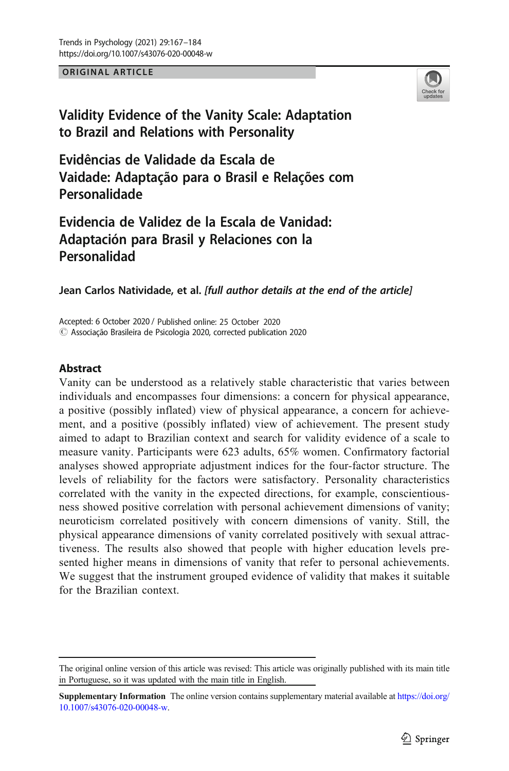#### ORIGINAL ARTICLE



Validity Evidence of the Vanity Scale: Adaptation to Brazil and Relations with Personality

Evidências de Validade da Escala de Vaidade: Adaptação para o Brasil e Relações com Personalidade

Evidencia de Validez de la Escala de Vanidad: Adaptación para Brasil y Relaciones con la Personalidad

Jean Carlos Natividade, et al. [full author details at the end of the article]

Accepted: 6 October 2020 / Published online: 25 October 2020 $\odot$  Associação Brasileira de Psicologia 2020, corrected publication 2020

## **Abstract**

Vanity can be understood as a relatively stable characteristic that varies between individuals and encompasses four dimensions: a concern for physical appearance, a positive (possibly inflated) view of physical appearance, a concern for achievement, and a positive (possibly inflated) view of achievement. The present study aimed to adapt to Brazilian context and search for validity evidence of a scale to measure vanity. Participants were 623 adults, 65% women. Confirmatory factorial analyses showed appropriate adjustment indices for the four-factor structure. The levels of reliability for the factors were satisfactory. Personality characteristics correlated with the vanity in the expected directions, for example, conscientiousness showed positive correlation with personal achievement dimensions of vanity; neuroticism correlated positively with concern dimensions of vanity. Still, the physical appearance dimensions of vanity correlated positively with sexual attractiveness. The results also showed that people with higher education levels presented higher means in dimensions of vanity that refer to personal achievements. We suggest that the instrument grouped evidence of validity that makes it suitable for the Brazilian context.

The original online version of this article was revised: This article was originally published with its main title in Portuguese, so it was updated with the main title in English.

Supplementary Information The online version contains supplementary material available at [https://doi.org/](https://doi.org/10.1007/s43076-020-00048-w) [10.1007/s43076-020-00048-w.](https://doi.org/10.1007/s43076-020-00048-w)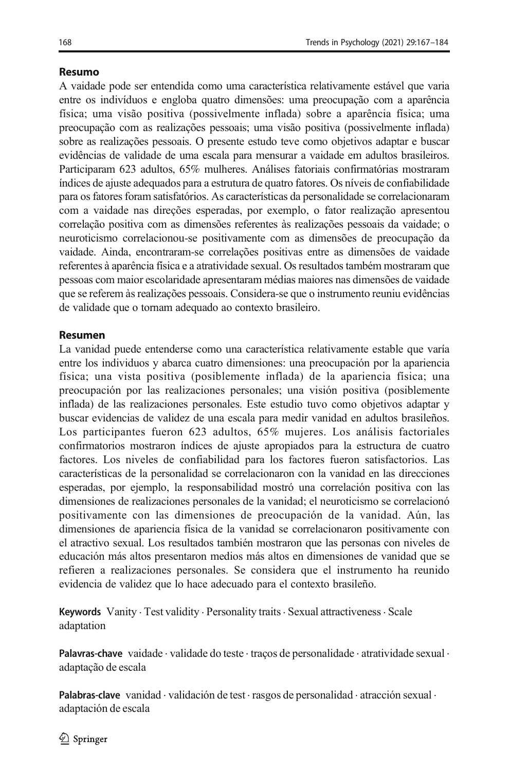### Resumo

A vaidade pode ser entendida como uma característica relativamente estável que varia entre os indivíduos e engloba quatro dimensões: uma preocupação com a aparência física; uma visão positiva (possivelmente inflada) sobre a aparência física; uma preocupação com as realizações pessoais; uma visão positiva (possivelmente inflada) sobre as realizações pessoais. O presente estudo teve como objetivos adaptar e buscar evidências de validade de uma escala para mensurar a vaidade em adultos brasileiros. Participaram 623 adultos, 65% mulheres. Análises fatoriais confirmatórias mostraram índices de ajuste adequados para a estrutura de quatro fatores. Os níveis de confiabilidade para os fatores foram satisfatórios. As características da personalidade se correlacionaram com a vaidade nas direções esperadas, por exemplo, o fator realização apresentou correlação positiva com as dimensões referentes às realizações pessoais da vaidade; o neuroticismo correlacionou-se positivamente com as dimensões de preocupação da vaidade. Ainda, encontraram-se correlações positivas entre as dimensões de vaidade referentes à aparência física e a atratividade sexual. Os resultados também mostraram que pessoas com maior escolaridade apresentaram médias maiores nas dimensões de vaidade que se referem às realizações pessoais. Considera-se que o instrumento reuniu evidências de validade que o tornam adequado ao contexto brasileiro.

### Resumen

La vanidad puede entenderse como una característica relativamente estable que varía entre los individuos y abarca cuatro dimensiones: una preocupación por la apariencia física; una vista positiva (posiblemente inflada) de la apariencia física; una preocupación por las realizaciones personales; una visión positiva (posiblemente inflada) de las realizaciones personales. Este estudio tuvo como objetivos adaptar y buscar evidencias de validez de una escala para medir vanidad en adultos brasileños. Los participantes fueron 623 adultos, 65% mujeres. Los análisis factoriales confirmatorios mostraron índices de ajuste apropiados para la estructura de cuatro factores. Los niveles de confiabilidad para los factores fueron satisfactorios. Las características de la personalidad se correlacionaron con la vanidad en las direcciones esperadas, por ejemplo, la responsabilidad mostró una correlación positiva con las dimensiones de realizaciones personales de la vanidad; el neuroticismo se correlacionó positivamente con las dimensiones de preocupación de la vanidad. Aún, las dimensiones de apariencia física de la vanidad se correlacionaron positivamente con el atractivo sexual. Los resultados también mostraron que las personas con niveles de educación más altos presentaron medios más altos en dimensiones de vanidad que se refieren a realizaciones personales. Se considera que el instrumento ha reunido evidencia de validez que lo hace adecuado para el contexto brasileño.

Keywords Vanity · Test validity · Personality traits · Sexual attractiveness · Scale adaptation

Palavras-chave vaidade · validade do teste · traços de personalidade · atratividade sexual · adaptação de escala

Palabras-clave vanidad · validación de test · rasgos de personalidad · atracción sexual · adaptación de escala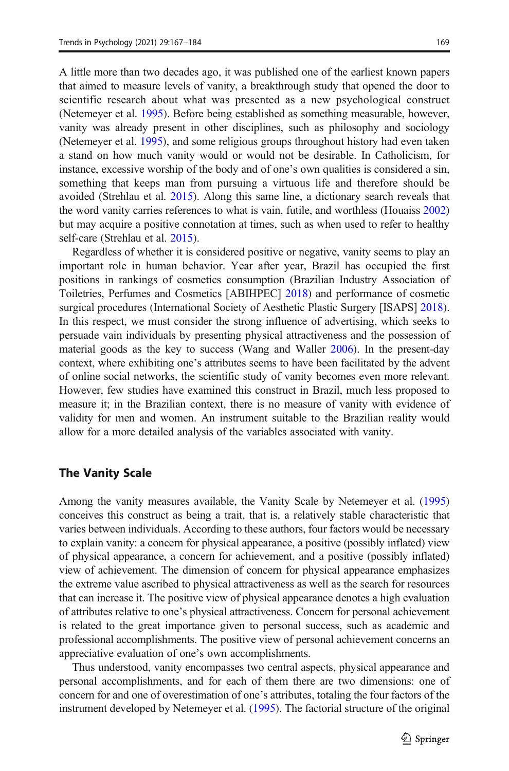A little more than two decades ago, it was published one of the earliest known papers that aimed to measure levels of vanity, a breakthrough study that opened the door to scientific research about what was presented as a new psychological construct (Netemeyer et al. [1995](#page-16-0)). Before being established as something measurable, however, vanity was already present in other disciplines, such as philosophy and sociology (Netemeyer et al. [1995\)](#page-16-0), and some religious groups throughout history had even taken a stand on how much vanity would or would not be desirable. In Catholicism, for instance, excessive worship of the body and of one's own qualities is considered a sin, something that keeps man from pursuing a virtuous life and therefore should be avoided (Strehlau et al. [2015\)](#page-17-0). Along this same line, a dictionary search reveals that the word vanity carries references to what is vain, futile, and worthless (Houaiss [2002](#page-16-0)) but may acquire a positive connotation at times, such as when used to refer to healthy self-care (Strehlau et al. [2015\)](#page-17-0).

Regardless of whether it is considered positive or negative, vanity seems to play an important role in human behavior. Year after year, Brazil has occupied the first positions in rankings of cosmetics consumption (Brazilian Industry Association of Toiletries, Perfumes and Cosmetics [ABIHPEC] [2018](#page-15-0)) and performance of cosmetic surgical procedures (International Society of Aesthetic Plastic Surgery [ISAPS] [2018\)](#page-16-0). In this respect, we must consider the strong influence of advertising, which seeks to persuade vain individuals by presenting physical attractiveness and the possession of material goods as the key to success (Wang and Waller [2006](#page-17-0)). In the present-day context, where exhibiting one's attributes seems to have been facilitated by the advent of online social networks, the scientific study of vanity becomes even more relevant. However, few studies have examined this construct in Brazil, much less proposed to measure it; in the Brazilian context, there is no measure of vanity with evidence of validity for men and women. An instrument suitable to the Brazilian reality would allow for a more detailed analysis of the variables associated with vanity.

## The Vanity Scale

Among the vanity measures available, the Vanity Scale by Netemeyer et al. ([1995](#page-16-0)) conceives this construct as being a trait, that is, a relatively stable characteristic that varies between individuals. According to these authors, four factors would be necessary to explain vanity: a concern for physical appearance, a positive (possibly inflated) view of physical appearance, a concern for achievement, and a positive (possibly inflated) view of achievement. The dimension of concern for physical appearance emphasizes the extreme value ascribed to physical attractiveness as well as the search for resources that can increase it. The positive view of physical appearance denotes a high evaluation of attributes relative to one's physical attractiveness. Concern for personal achievement is related to the great importance given to personal success, such as academic and professional accomplishments. The positive view of personal achievement concerns an appreciative evaluation of one's own accomplishments.

Thus understood, vanity encompasses two central aspects, physical appearance and personal accomplishments, and for each of them there are two dimensions: one of concern for and one of overestimation of one's attributes, totaling the four factors of the instrument developed by Netemeyer et al. [\(1995\)](#page-16-0). The factorial structure of the original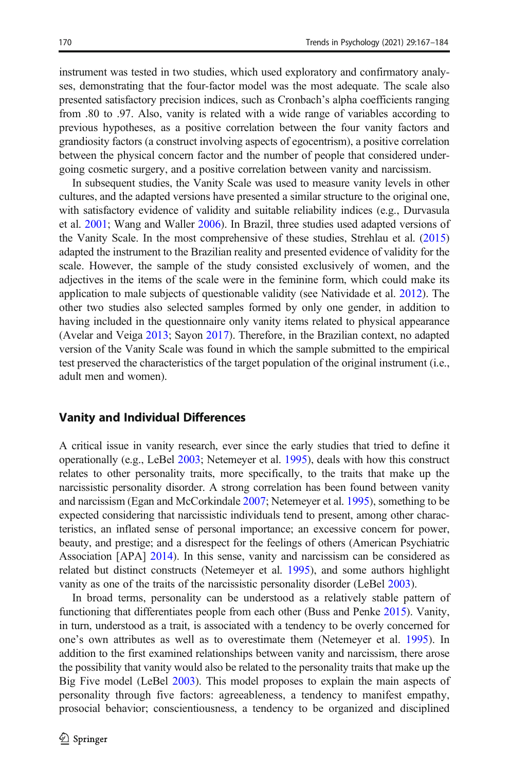instrument was tested in two studies, which used exploratory and confirmatory analyses, demonstrating that the four-factor model was the most adequate. The scale also presented satisfactory precision indices, such as Cronbach's alpha coefficients ranging from .80 to .97. Also, vanity is related with a wide range of variables according to previous hypotheses, as a positive correlation between the four vanity factors and grandiosity factors (a construct involving aspects of egocentrism), a positive correlation between the physical concern factor and the number of people that considered undergoing cosmetic surgery, and a positive correlation between vanity and narcissism.

In subsequent studies, the Vanity Scale was used to measure vanity levels in other cultures, and the adapted versions have presented a similar structure to the original one, with satisfactory evidence of validity and suitable reliability indices (e.g., Durvasula et al. [2001;](#page-16-0) Wang and Waller [2006\)](#page-17-0). In Brazil, three studies used adapted versions of the Vanity Scale. In the most comprehensive of these studies, Strehlau et al. ([2015](#page-17-0)) adapted the instrument to the Brazilian reality and presented evidence of validity for the scale. However, the sample of the study consisted exclusively of women, and the adjectives in the items of the scale were in the feminine form, which could make its application to male subjects of questionable validity (see Natividade et al. [2012\)](#page-16-0). The other two studies also selected samples formed by only one gender, in addition to having included in the questionnaire only vanity items related to physical appearance (Avelar and Veiga [2013;](#page-15-0) Sayon [2017\)](#page-16-0). Therefore, in the Brazilian context, no adapted version of the Vanity Scale was found in which the sample submitted to the empirical test preserved the characteristics of the target population of the original instrument (i.e., adult men and women).

### Vanity and Individual Differences

A critical issue in vanity research, ever since the early studies that tried to define it operationally (e.g., LeBel [2003](#page-16-0); Netemeyer et al. [1995](#page-16-0)), deals with how this construct relates to other personality traits, more specifically, to the traits that make up the narcissistic personality disorder. A strong correlation has been found between vanity and narcissism (Egan and McCorkindale [2007](#page-16-0); Netemeyer et al. [1995](#page-16-0)), something to be expected considering that narcissistic individuals tend to present, among other characteristics, an inflated sense of personal importance; an excessive concern for power, beauty, and prestige; and a disrespect for the feelings of others (American Psychiatric Association [APA] [2014](#page-15-0)). In this sense, vanity and narcissism can be considered as related but distinct constructs (Netemeyer et al. [1995\)](#page-16-0), and some authors highlight vanity as one of the traits of the narcissistic personality disorder (LeBel [2003\)](#page-16-0).

In broad terms, personality can be understood as a relatively stable pattern of functioning that differentiates people from each other (Buss and Penke [2015](#page-15-0)). Vanity, in turn, understood as a trait, is associated with a tendency to be overly concerned for one's own attributes as well as to overestimate them (Netemeyer et al. [1995](#page-16-0)). In addition to the first examined relationships between vanity and narcissism, there arose the possibility that vanity would also be related to the personality traits that make up the Big Five model (LeBel [2003\)](#page-16-0). This model proposes to explain the main aspects of personality through five factors: agreeableness, a tendency to manifest empathy, prosocial behavior; conscientiousness, a tendency to be organized and disciplined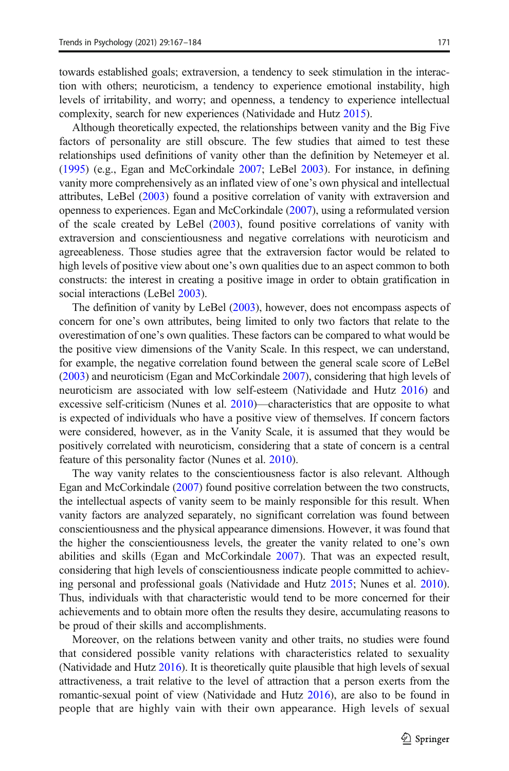towards established goals; extraversion, a tendency to seek stimulation in the interaction with others; neuroticism, a tendency to experience emotional instability, high levels of irritability, and worry; and openness, a tendency to experience intellectual complexity, search for new experiences (Natividade and Hutz [2015](#page-16-0)).

Although theoretically expected, the relationships between vanity and the Big Five factors of personality are still obscure. The few studies that aimed to test these relationships used definitions of vanity other than the definition by Netemeyer et al. [\(1995\)](#page-16-0) (e.g., Egan and McCorkindale [2007;](#page-16-0) LeBel [2003\)](#page-16-0). For instance, in defining vanity more comprehensively as an inflated view of one's own physical and intellectual attributes, LeBel [\(2003\)](#page-16-0) found a positive correlation of vanity with extraversion and openness to experiences. Egan and McCorkindale [\(2007\)](#page-16-0), using a reformulated version of the scale created by LeBel ([2003\)](#page-16-0), found positive correlations of vanity with extraversion and conscientiousness and negative correlations with neuroticism and agreeableness. Those studies agree that the extraversion factor would be related to high levels of positive view about one's own qualities due to an aspect common to both constructs: the interest in creating a positive image in order to obtain gratification in social interactions (LeBel [2003](#page-16-0)).

The definition of vanity by LeBel [\(2003\)](#page-16-0), however, does not encompass aspects of concern for one's own attributes, being limited to only two factors that relate to the overestimation of one's own qualities. These factors can be compared to what would be the positive view dimensions of the Vanity Scale. In this respect, we can understand, for example, the negative correlation found between the general scale score of LeBel [\(2003\)](#page-16-0) and neuroticism (Egan and McCorkindale [2007\)](#page-16-0), considering that high levels of neuroticism are associated with low self-esteem (Natividade and Hutz [2016](#page-16-0)) and excessive self-criticism (Nunes et al. [2010\)](#page-16-0)—characteristics that are opposite to what is expected of individuals who have a positive view of themselves. If concern factors were considered, however, as in the Vanity Scale, it is assumed that they would be positively correlated with neuroticism, considering that a state of concern is a central feature of this personality factor (Nunes et al. [2010](#page-16-0)).

The way vanity relates to the conscientiousness factor is also relevant. Although Egan and McCorkindale [\(2007\)](#page-16-0) found positive correlation between the two constructs, the intellectual aspects of vanity seem to be mainly responsible for this result. When vanity factors are analyzed separately, no significant correlation was found between conscientiousness and the physical appearance dimensions. However, it was found that the higher the conscientiousness levels, the greater the vanity related to one's own abilities and skills (Egan and McCorkindale [2007](#page-16-0)). That was an expected result, considering that high levels of conscientiousness indicate people committed to achieving personal and professional goals (Natividade and Hutz [2015;](#page-16-0) Nunes et al. [2010\)](#page-16-0). Thus, individuals with that characteristic would tend to be more concerned for their achievements and to obtain more often the results they desire, accumulating reasons to be proud of their skills and accomplishments.

Moreover, on the relations between vanity and other traits, no studies were found that considered possible vanity relations with characteristics related to sexuality (Natividade and Hutz [2016\)](#page-16-0). It is theoretically quite plausible that high levels of sexual attractiveness, a trait relative to the level of attraction that a person exerts from the romantic-sexual point of view (Natividade and Hutz [2016](#page-16-0)), are also to be found in people that are highly vain with their own appearance. High levels of sexual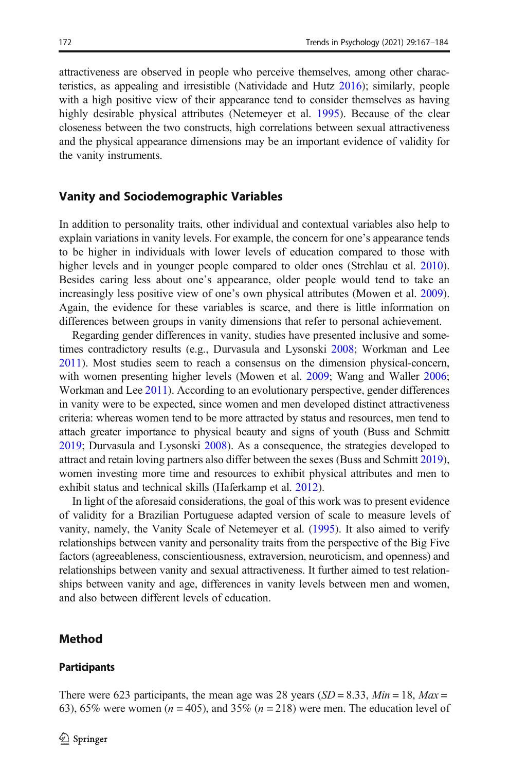attractiveness are observed in people who perceive themselves, among other characteristics, as appealing and irresistible (Natividade and Hutz [2016](#page-16-0)); similarly, people with a high positive view of their appearance tend to consider themselves as having highly desirable physical attributes (Netemeyer et al. [1995](#page-16-0)). Because of the clear closeness between the two constructs, high correlations between sexual attractiveness and the physical appearance dimensions may be an important evidence of validity for the vanity instruments.

#### Vanity and Sociodemographic Variables

In addition to personality traits, other individual and contextual variables also help to explain variations in vanity levels. For example, the concern for one's appearance tends to be higher in individuals with lower levels of education compared to those with higher levels and in younger people compared to older ones (Strehlau et al. [2010\)](#page-16-0). Besides caring less about one's appearance, older people would tend to take an increasingly less positive view of one's own physical attributes (Mowen et al. [2009\)](#page-16-0). Again, the evidence for these variables is scarce, and there is little information on differences between groups in vanity dimensions that refer to personal achievement.

Regarding gender differences in vanity, studies have presented inclusive and sometimes contradictory results (e.g., Durvasula and Lysonski [2008;](#page-15-0) Workman and Lee [2011\)](#page-17-0). Most studies seem to reach a consensus on the dimension physical-concern, with women presenting higher levels (Mowen et al. [2009](#page-16-0); Wang and Waller [2006;](#page-17-0) Workman and Lee [2011\)](#page-17-0). According to an evolutionary perspective, gender differences in vanity were to be expected, since women and men developed distinct attractiveness criteria: whereas women tend to be more attracted by status and resources, men tend to attach greater importance to physical beauty and signs of youth (Buss and Schmitt [2019;](#page-15-0) Durvasula and Lysonski [2008](#page-15-0)). As a consequence, the strategies developed to attract and retain loving partners also differ between the sexes (Buss and Schmitt [2019\)](#page-15-0), women investing more time and resources to exhibit physical attributes and men to exhibit status and technical skills (Haferkamp et al. [2012\)](#page-16-0).

In light of the aforesaid considerations, the goal of this work was to present evidence of validity for a Brazilian Portuguese adapted version of scale to measure levels of vanity, namely, the Vanity Scale of Netemeyer et al. ([1995](#page-16-0)). It also aimed to verify relationships between vanity and personality traits from the perspective of the Big Five factors (agreeableness, conscientiousness, extraversion, neuroticism, and openness) and relationships between vanity and sexual attractiveness. It further aimed to test relationships between vanity and age, differences in vanity levels between men and women, and also between different levels of education.

#### Method

#### Participants

There were 623 participants, the mean age was 28 years  $(SD = 8.33, Min = 18, Max =$ 63), 65% were women ( $n = 405$ ), and 35% ( $n = 218$ ) were men. The education level of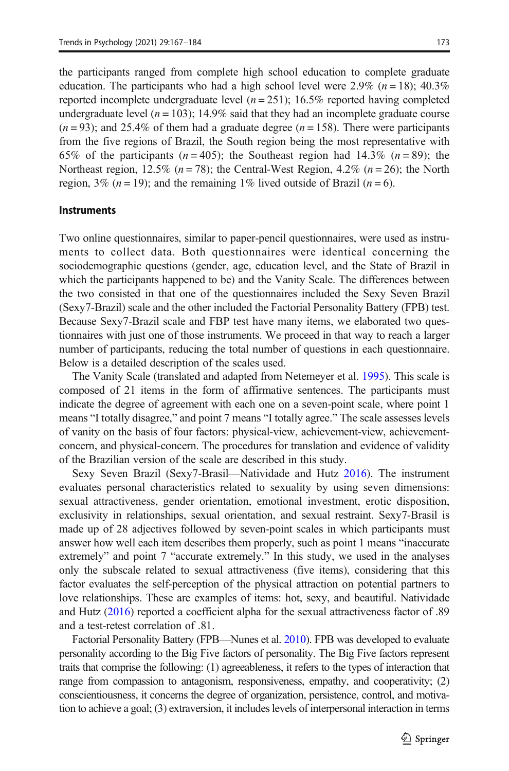the participants ranged from complete high school education to complete graduate education. The participants who had a high school level were 2.9% ( $n = 18$ ); 40.3% reported incomplete undergraduate level  $(n = 251)$ ; 16.5% reported having completed undergraduate level  $(n = 103)$ ; 14.9% said that they had an incomplete graduate course  $(n=93)$ ; and 25.4% of them had a graduate degree  $(n=158)$ . There were participants from the five regions of Brazil, the South region being the most representative with 65% of the participants ( $n = 405$ ); the Southeast region had 14.3% ( $n = 89$ ); the Northeast region, 12.5% ( $n = 78$ ); the Central-West Region, 4.2% ( $n = 26$ ); the North region, 3% ( $n = 19$ ); and the remaining 1% lived outside of Brazil ( $n = 6$ ).

#### **Instruments**

Two online questionnaires, similar to paper-pencil questionnaires, were used as instruments to collect data. Both questionnaires were identical concerning the sociodemographic questions (gender, age, education level, and the State of Brazil in which the participants happened to be) and the Vanity Scale. The differences between the two consisted in that one of the questionnaires included the Sexy Seven Brazil (Sexy7-Brazil) scale and the other included the Factorial Personality Battery (FPB) test. Because Sexy7-Brazil scale and FBP test have many items, we elaborated two questionnaires with just one of those instruments. We proceed in that way to reach a larger number of participants, reducing the total number of questions in each questionnaire. Below is a detailed description of the scales used.

The Vanity Scale (translated and adapted from Netemeyer et al. [1995](#page-16-0)). This scale is composed of 21 items in the form of affirmative sentences. The participants must indicate the degree of agreement with each one on a seven-point scale, where point 1 means "I totally disagree," and point 7 means "I totally agree." The scale assesses levels of vanity on the basis of four factors: physical-view, achievement-view, achievementconcern, and physical-concern. The procedures for translation and evidence of validity of the Brazilian version of the scale are described in this study.

Sexy Seven Brazil (Sexy7-Brasil—Natividade and Hutz [2016\)](#page-16-0). The instrument evaluates personal characteristics related to sexuality by using seven dimensions: sexual attractiveness, gender orientation, emotional investment, erotic disposition, exclusivity in relationships, sexual orientation, and sexual restraint. Sexy7-Brasil is made up of 28 adjectives followed by seven-point scales in which participants must answer how well each item describes them properly, such as point 1 means "inaccurate extremely" and point 7 "accurate extremely." In this study, we used in the analyses only the subscale related to sexual attractiveness (five items), considering that this factor evaluates the self-perception of the physical attraction on potential partners to love relationships. These are examples of items: hot, sexy, and beautiful. Natividade and Hutz [\(2016](#page-16-0)) reported a coefficient alpha for the sexual attractiveness factor of .89 and a test-retest correlation of .81.

Factorial Personality Battery (FPB—Nunes et al. [2010](#page-16-0)). FPB was developed to evaluate personality according to the Big Five factors of personality. The Big Five factors represent traits that comprise the following: (1) agreeableness, it refers to the types of interaction that range from compassion to antagonism, responsiveness, empathy, and cooperativity; (2) conscientiousness, it concerns the degree of organization, persistence, control, and motivation to achieve a goal; (3) extraversion, it includes levels of interpersonal interaction in terms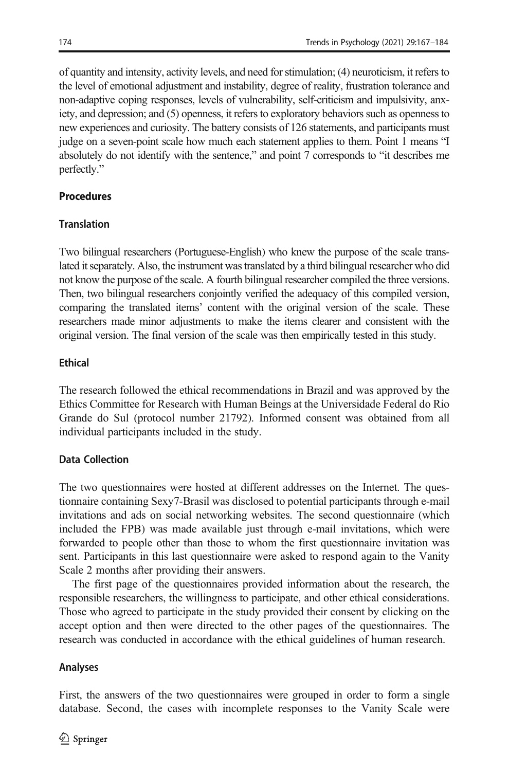of quantity and intensity, activity levels, and need for stimulation; (4) neuroticism, it refers to the level of emotional adjustment and instability, degree of reality, frustration tolerance and non-adaptive coping responses, levels of vulnerability, self-criticism and impulsivity, anxiety, and depression; and (5) openness, it refers to exploratory behaviors such as openness to new experiences and curiosity. The battery consists of 126 statements, and participants must judge on a seven-point scale how much each statement applies to them. Point 1 means "I absolutely do not identify with the sentence," and point 7 corresponds to "it describes me perfectly."

# Procedures

# **Translation**

Two bilingual researchers (Portuguese-English) who knew the purpose of the scale translated it separately. Also, the instrument was translated by a third bilingual researcher who did not know the purpose of the scale. A fourth bilingual researcher compiled the three versions. Then, two bilingual researchers conjointly verified the adequacy of this compiled version, comparing the translated items' content with the original version of the scale. These researchers made minor adjustments to make the items clearer and consistent with the original version. The final version of the scale was then empirically tested in this study.

# **Ethical**

The research followed the ethical recommendations in Brazil and was approved by the Ethics Committee for Research with Human Beings at the Universidade Federal do Rio Grande do Sul (protocol number 21792). Informed consent was obtained from all individual participants included in the study.

# Data Collection

The two questionnaires were hosted at different addresses on the Internet. The questionnaire containing Sexy7-Brasil was disclosed to potential participants through e-mail invitations and ads on social networking websites. The second questionnaire (which included the FPB) was made available just through e-mail invitations, which were forwarded to people other than those to whom the first questionnaire invitation was sent. Participants in this last questionnaire were asked to respond again to the Vanity Scale 2 months after providing their answers.

The first page of the questionnaires provided information about the research, the responsible researchers, the willingness to participate, and other ethical considerations. Those who agreed to participate in the study provided their consent by clicking on the accept option and then were directed to the other pages of the questionnaires. The research was conducted in accordance with the ethical guidelines of human research.

# Analyses

First, the answers of the two questionnaires were grouped in order to form a single database. Second, the cases with incomplete responses to the Vanity Scale were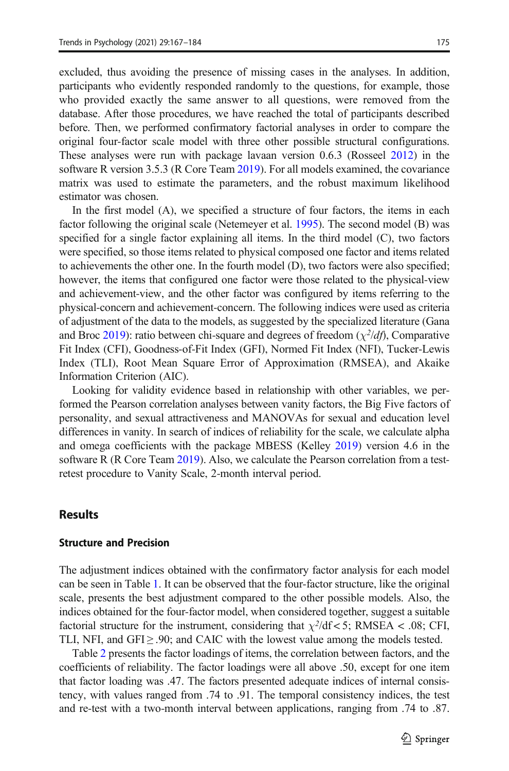excluded, thus avoiding the presence of missing cases in the analyses. In addition, participants who evidently responded randomly to the questions, for example, those who provided exactly the same answer to all questions, were removed from the database. After those procedures, we have reached the total of participants described before. Then, we performed confirmatory factorial analyses in order to compare the original four-factor scale model with three other possible structural configurations. These analyses were run with package lavaan version 0.6.3 (Rosseel [2012](#page-16-0)) in the software R version 3.5.3 (R Core Team [2019\)](#page-15-0). For all models examined, the covariance matrix was used to estimate the parameters, and the robust maximum likelihood estimator was chosen.

In the first model (A), we specified a structure of four factors, the items in each factor following the original scale (Netemeyer et al. [1995\)](#page-16-0). The second model (B) was specified for a single factor explaining all items. In the third model (C), two factors were specified, so those items related to physical composed one factor and items related to achievements the other one. In the fourth model (D), two factors were also specified; however, the items that configured one factor were those related to the physical-view and achievement-view, and the other factor was configured by items referring to the physical-concern and achievement-concern. The following indices were used as criteria of adjustment of the data to the models, as suggested by the specialized literature (Gana and Broc [2019](#page-16-0)): ratio between chi-square and degrees of freedom  $(\chi^2/df)$ , Comparative Fit Index (CFI), Goodness-of-Fit Index (GFI), Normed Fit Index (NFI), Tucker-Lewis Index (TLI), Root Mean Square Error of Approximation (RMSEA), and Akaike Information Criterion (AIC).

Looking for validity evidence based in relationship with other variables, we performed the Pearson correlation analyses between vanity factors, the Big Five factors of personality, and sexual attractiveness and MANOVAs for sexual and education level differences in vanity. In search of indices of reliability for the scale, we calculate alpha and omega coefficients with the package MBESS (Kelley [2019](#page-16-0)) version 4.6 in the software R (R Core Team [2019](#page-15-0)). Also, we calculate the Pearson correlation from a testretest procedure to Vanity Scale, 2-month interval period.

### Results

### Structure and Precision

The adjustment indices obtained with the confirmatory factor analysis for each model can be seen in Table [1.](#page-9-0) It can be observed that the four-factor structure, like the original scale, presents the best adjustment compared to the other possible models. Also, the indices obtained for the four-factor model, when considered together, suggest a suitable factorial structure for the instrument, considering that  $\chi^2/df < 5$ ; RMSEA < .08; CFI, TLI, NFI, and  $GF \geq .90$ ; and CAIC with the lowest value among the models tested.

Table [2](#page-10-0) presents the factor loadings of items, the correlation between factors, and the coefficients of reliability. The factor loadings were all above .50, except for one item that factor loading was .47. The factors presented adequate indices of internal consistency, with values ranged from .74 to .91. The temporal consistency indices, the test and re-test with a two-month interval between applications, ranging from .74 to .87.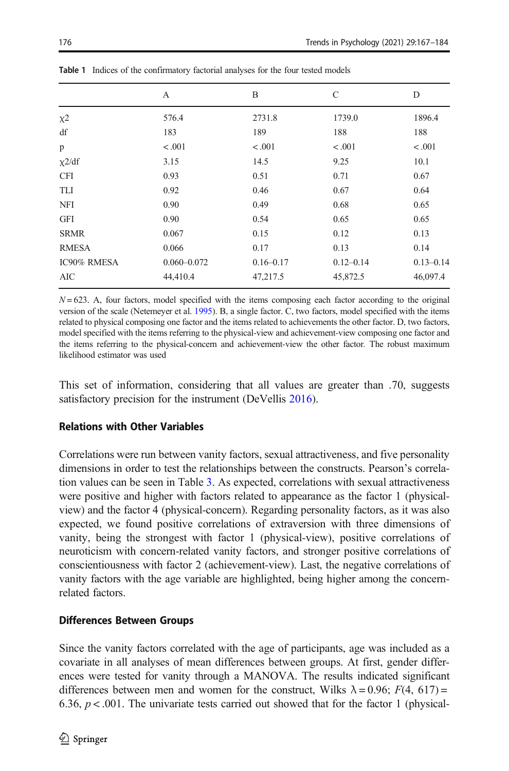|              | А               | B             | $\mathcal{C}$ | D             |
|--------------|-----------------|---------------|---------------|---------------|
| $\chi$ 2     | 576.4           | 2731.8        | 1739.0        | 1896.4        |
| df           | 183             | 189           | 188           | 188           |
| p            | $-.001$         | $-.001$       | < .001        | $-.001$       |
| $\chi$ 2/df  | 3.15            | 14.5          | 9.25          | 10.1          |
| <b>CFI</b>   | 0.93            | 0.51          | 0.71          | 0.67          |
| TLI          | 0.92            | 0.46          | 0.67          | 0.64          |
| <b>NFI</b>   | 0.90            | 0.49          | 0.68          | 0.65          |
| <b>GFI</b>   | 0.90            | 0.54          | 0.65          | 0.65          |
| <b>SRMR</b>  | 0.067           | 0.15          | 0.12          | 0.13          |
| <b>RMESA</b> | 0.066           | 0.17          | 0.13          | 0.14          |
| IC90% RMESA  | $0.060 - 0.072$ | $0.16 - 0.17$ | $0.12 - 0.14$ | $0.13 - 0.14$ |
| <b>AIC</b>   | 44,410.4        | 47,217.5      | 45,872.5      | 46,097.4      |

<span id="page-9-0"></span>Table 1 Indices of the confirmatory factorial analyses for the four tested models

 $N = 623$ . A, four factors, model specified with the items composing each factor according to the original version of the scale (Netemeyer et al. [1995](#page-16-0)). B, a single factor. C, two factors, model specified with the items related to physical composing one factor and the items related to achievements the other factor. D, two factors, model specified with the items referring to the physical-view and achievement-view composing one factor and the items referring to the physical-concern and achievement-view the other factor. The robust maximum likelihood estimator was used

This set of information, considering that all values are greater than .70, suggests satisfactory precision for the instrument (DeVellis [2016](#page-15-0)).

## Relations with Other Variables

Correlations were run between vanity factors, sexual attractiveness, and five personality dimensions in order to test the relationships between the constructs. Pearson's correlation values can be seen in Table [3](#page-11-0). As expected, correlations with sexual attractiveness were positive and higher with factors related to appearance as the factor 1 (physicalview) and the factor 4 (physical-concern). Regarding personality factors, as it was also expected, we found positive correlations of extraversion with three dimensions of vanity, being the strongest with factor 1 (physical-view), positive correlations of neuroticism with concern-related vanity factors, and stronger positive correlations of conscientiousness with factor 2 (achievement-view). Last, the negative correlations of vanity factors with the age variable are highlighted, being higher among the concernrelated factors.

# Differences Between Groups

Since the vanity factors correlated with the age of participants, age was included as a covariate in all analyses of mean differences between groups. At first, gender differences were tested for vanity through a MANOVA. The results indicated significant differences between men and women for the construct, Wilks  $\lambda = 0.96$ ;  $F(4, 617) =$ 6.36,  $p < 0.001$ . The univariate tests carried out showed that for the factor 1 (physical-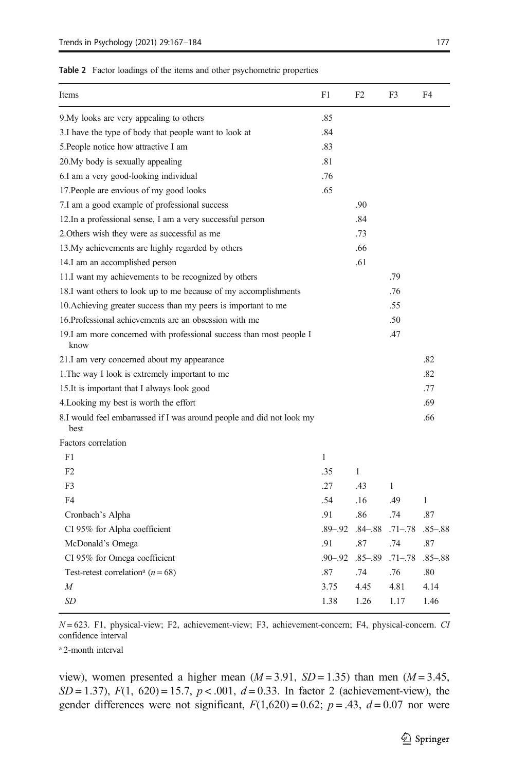<span id="page-10-0"></span>

|  | Table 2 Factor loadings of the items and other psychometric properties |  |  |  |  |
|--|------------------------------------------------------------------------|--|--|--|--|
|--|------------------------------------------------------------------------|--|--|--|--|

| <b>Items</b>                                                                         | F1          | F <sub>2</sub> | F3          | F4          |
|--------------------------------------------------------------------------------------|-------------|----------------|-------------|-------------|
| 9. My looks are very appealing to others                                             | .85         |                |             |             |
| 3.I have the type of body that people want to look at                                | .84         |                |             |             |
| 5. People notice how attractive I am                                                 | .83         |                |             |             |
| 20. My body is sexually appealing                                                    | .81         |                |             |             |
| 6.I am a very good-looking individual                                                | .76         |                |             |             |
| 17. People are envious of my good looks                                              | .65         |                |             |             |
| 7.I am a good example of professional success                                        |             | .90            |             |             |
| 12. In a professional sense, I am a very successful person                           |             | .84            |             |             |
| 2. Others wish they were as successful as me                                         |             | .73            |             |             |
| 13. My achievements are highly regarded by others                                    |             | .66            |             |             |
| 14.I am an accomplished person                                                       |             | .61            |             |             |
| 11.I want my achievements to be recognized by others                                 |             |                | .79         |             |
| 18.I want others to look up to me because of my accomplishments                      |             |                | .76         |             |
| 10. Achieving greater success than my peers is important to me                       |             |                | .55         |             |
| 16. Professional achievements are an obsession with me                               |             |                | .50         |             |
| 19.I am more concerned with professional success than most people I<br>know          |             |                | .47         |             |
| 21. I am very concerned about my appearance                                          |             |                |             | .82         |
| 1. The way I look is extremely important to me                                       |             |                |             | -82         |
| 15. It is important that I always look good                                          |             |                |             | .77         |
| 4. Looking my best is worth the effort                                               |             |                |             | .69         |
| 8.I would feel embarrassed if I was around people and did not look my<br><b>best</b> |             |                |             | .66         |
| Factors correlation                                                                  |             |                |             |             |
| F1                                                                                   | 1           |                |             |             |
| F2                                                                                   | .35         | 1              |             |             |
| F3                                                                                   | .27         | .43            | 1           |             |
| F4                                                                                   | .54         | .16            | .49         | 1           |
| Cronbach's Alpha                                                                     | .91         | .86            | .74         | .87         |
| CI 95% for Alpha coefficient                                                         | $.89 - .92$ | $.84 - .88$    | $.71 - .78$ | $.85 - .88$ |
| McDonald's Omega                                                                     | .91         | .87            | .74         | .87         |
| CI 95% for Omega coefficient                                                         | $.90 - .92$ | $.85 - .89$    | $.71 - .78$ | $.85 - .88$ |
| Test-retest correlation <sup>a</sup> ( $n = 68$ )                                    | .87         | .74            | .76         | .80         |
| $\overline{M}$                                                                       | 3.75        | 4.45           | 4.81        | 4.14        |
| SD                                                                                   | 1.38        | 1.26           | 1.17        | 1.46        |

N = 623. F1, physical-view; F2, achievement-view; F3, achievement-concern; F4, physical-concern. CI confidence interval

<sup>a</sup> 2-month interval

view), women presented a higher mean  $(M = 3.91, SD = 1.35)$  than men  $(M = 3.45,$  $SD = 1.37$ ,  $F(1, 620) = 15.7$ ,  $p < .001$ ,  $d = 0.33$ . In factor 2 (achievement-view), the gender differences were not significant,  $F(1,620) = 0.62$ ;  $p = .43$ ,  $d = 0.07$  nor were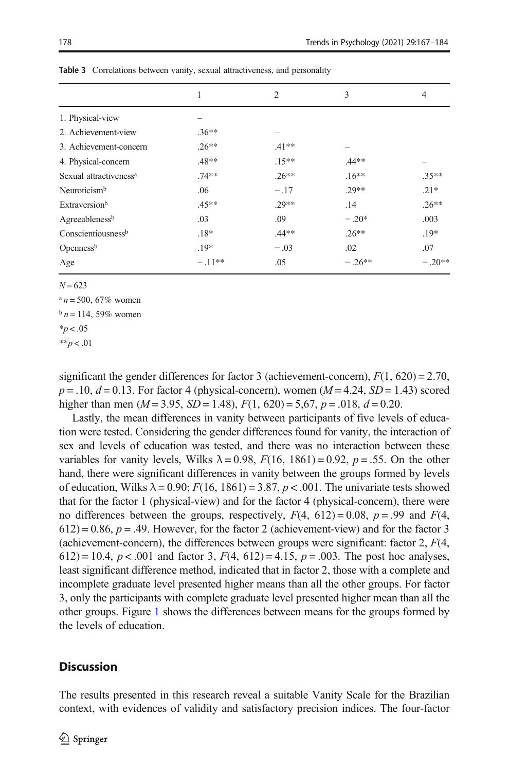|                                    |          | 2        | 3        | $\overline{4}$ |
|------------------------------------|----------|----------|----------|----------------|
| 1. Physical-view                   |          |          |          |                |
| 2. Achievement-view                | $.36**$  |          |          |                |
| 3. Achievement-concern             | $.26**$  | $.41**$  |          |                |
| 4. Physical-concern                | $.48**$  | $.15***$ | $.44**$  |                |
| Sexual attractiveness <sup>a</sup> | $.74**$  | $.26**$  | $.16***$ | $.35***$       |
| Neuroticism <sup>b</sup>           | .06      | $-.17$   | $.29**$  | $.21*$         |
| Extraversion <sup>b</sup>          | $.45**$  | $.29**$  | .14      | $.26**$        |
| Agreeablenessb                     | .03      | .09      | $-.20*$  | .003           |
| Consectionusness <sup>b</sup>      | $.18*$   | $.44**$  | $.26**$  | $.19*$         |
| Opennessb                          | $.19*$   | $-.03$   | .02      | .07            |
| Age                                | $-.11**$ | .05      | $-.26**$ | $-.20**$       |

<span id="page-11-0"></span>Table 3 Correlations between vanity, sexual attractiveness, and personality

 $N = 623$ 

 $a_n = 500, 67\%$  women

 $b_n = 114, 59\%$  women

#### $*p < .05$

significant the gender differences for factor 3 (achievement-concern),  $F(1, 620) = 2.70$ ,  $p = .10$ ,  $d = 0.13$ . For factor 4 (physical-concern), women  $(M = 4.24, SD = 1.43)$  scored higher than men ( $M = 3.95$ ,  $SD = 1.48$ ),  $F(1, 620) = 5.67$ ,  $p = .018$ ,  $d = 0.20$ .

Lastly, the mean differences in vanity between participants of five levels of education were tested. Considering the gender differences found for vanity, the interaction of sex and levels of education was tested, and there was no interaction between these variables for vanity levels, Wilks  $\lambda = 0.98$ ,  $F(16, 1861) = 0.92$ ,  $p = .55$ . On the other hand, there were significant differences in vanity between the groups formed by levels of education, Wilks  $\lambda = 0.90$ ;  $F(16, 1861) = 3.87$ ,  $p < .001$ . The univariate tests showed that for the factor 1 (physical-view) and for the factor 4 (physical-concern), there were no differences between the groups, respectively,  $F(4, 612) = 0.08$ ,  $p = .99$  and  $F(4, 612) = 0.08$  $612$ ) = 0.86, p = .49. However, for the factor 2 (achievement-view) and for the factor 3 (achievement-concern), the differences between groups were significant: factor 2,  $F(4)$ ,  $612$ ) = 10.4, p < .001 and factor 3,  $F(4, 612)$  = 4.15, p = .003. The post hoc analyses, least significant difference method, indicated that in factor 2, those with a complete and incomplete graduate level presented higher means than all the other groups. For factor 3, only the participants with complete graduate level presented higher mean than all the other groups. Figure [1](#page-12-0) shows the differences between means for the groups formed by the levels of education.

### **Discussion**

The results presented in this research reveal a suitable Vanity Scale for the Brazilian context, with evidences of validity and satisfactory precision indices. The four-factor

<sup>\*\*</sup> $p < .01$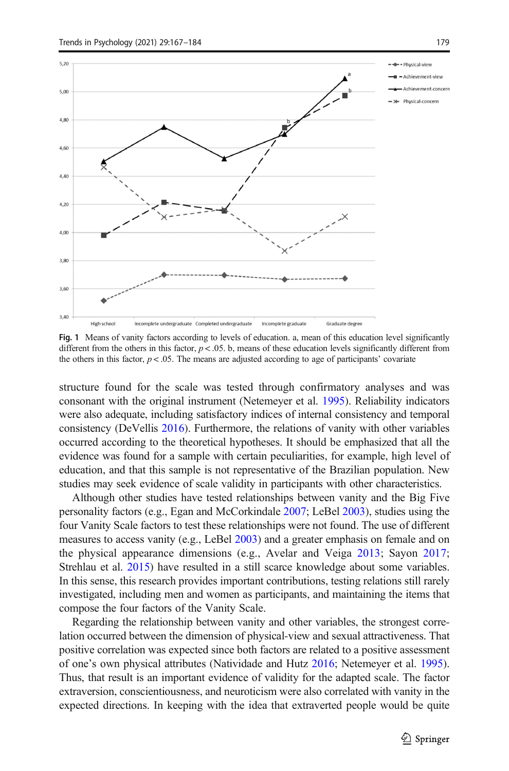<span id="page-12-0"></span>

Fig. 1 Means of vanity factors according to levels of education. a, mean of this education level significantly different from the others in this factor,  $p < 0.05$ . b, means of these education levels significantly different from the others in this factor,  $p < 0.05$ . The means are adjusted according to age of participants' covariate

structure found for the scale was tested through confirmatory analyses and was consonant with the original instrument (Netemeyer et al. [1995\)](#page-16-0). Reliability indicators were also adequate, including satisfactory indices of internal consistency and temporal consistency (DeVellis [2016](#page-15-0)). Furthermore, the relations of vanity with other variables occurred according to the theoretical hypotheses. It should be emphasized that all the evidence was found for a sample with certain peculiarities, for example, high level of education, and that this sample is not representative of the Brazilian population. New studies may seek evidence of scale validity in participants with other characteristics.

Although other studies have tested relationships between vanity and the Big Five personality factors (e.g., Egan and McCorkindale [2007](#page-16-0); LeBel [2003](#page-16-0)), studies using the four Vanity Scale factors to test these relationships were not found. The use of different measures to access vanity (e.g., LeBel [2003](#page-16-0)) and a greater emphasis on female and on the physical appearance dimensions (e.g., Avelar and Veiga [2013;](#page-15-0) Sayon [2017;](#page-16-0) Strehlau et al. [2015](#page-17-0)) have resulted in a still scarce knowledge about some variables. In this sense, this research provides important contributions, testing relations still rarely investigated, including men and women as participants, and maintaining the items that compose the four factors of the Vanity Scale.

Regarding the relationship between vanity and other variables, the strongest correlation occurred between the dimension of physical-view and sexual attractiveness. That positive correlation was expected since both factors are related to a positive assessment of one's own physical attributes (Natividade and Hutz [2016;](#page-16-0) Netemeyer et al. [1995\)](#page-16-0). Thus, that result is an important evidence of validity for the adapted scale. The factor extraversion, conscientiousness, and neuroticism were also correlated with vanity in the expected directions. In keeping with the idea that extraverted people would be quite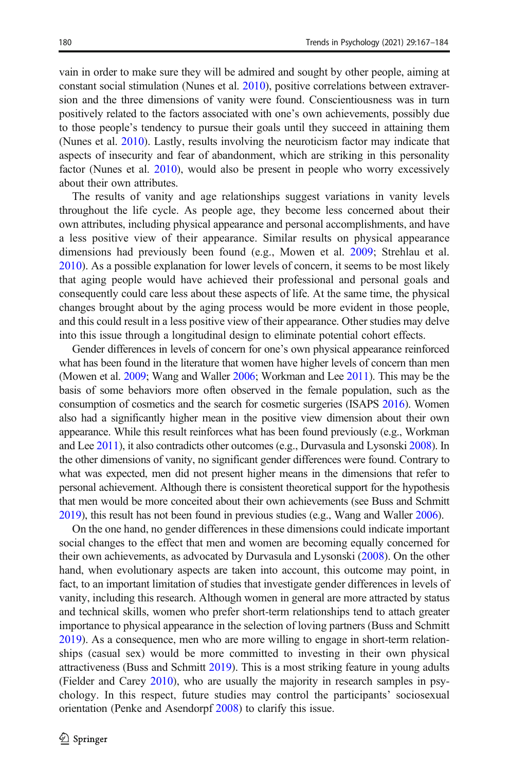vain in order to make sure they will be admired and sought by other people, aiming at constant social stimulation (Nunes et al. [2010](#page-16-0)), positive correlations between extraversion and the three dimensions of vanity were found. Conscientiousness was in turn positively related to the factors associated with one's own achievements, possibly due to those people's tendency to pursue their goals until they succeed in attaining them (Nunes et al. [2010](#page-16-0)). Lastly, results involving the neuroticism factor may indicate that aspects of insecurity and fear of abandonment, which are striking in this personality factor (Nunes et al. [2010\)](#page-16-0), would also be present in people who worry excessively about their own attributes.

The results of vanity and age relationships suggest variations in vanity levels throughout the life cycle. As people age, they become less concerned about their own attributes, including physical appearance and personal accomplishments, and have a less positive view of their appearance. Similar results on physical appearance dimensions had previously been found (e.g., Mowen et al. [2009](#page-16-0); Strehlau et al. [2010\)](#page-16-0). As a possible explanation for lower levels of concern, it seems to be most likely that aging people would have achieved their professional and personal goals and consequently could care less about these aspects of life. At the same time, the physical changes brought about by the aging process would be more evident in those people, and this could result in a less positive view of their appearance. Other studies may delve into this issue through a longitudinal design to eliminate potential cohort effects.

Gender differences in levels of concern for one's own physical appearance reinforced what has been found in the literature that women have higher levels of concern than men (Mowen et al. [2009](#page-16-0); Wang and Waller [2006](#page-17-0); Workman and Lee [2011\)](#page-17-0). This may be the basis of some behaviors more often observed in the female population, such as the consumption of cosmetics and the search for cosmetic surgeries (ISAPS [2016\)](#page-16-0). Women also had a significantly higher mean in the positive view dimension about their own appearance. While this result reinforces what has been found previously (e.g., Workman and Lee [2011\)](#page-17-0), it also contradicts other outcomes (e.g., Durvasula and Lysonski [2008\)](#page-15-0). In the other dimensions of vanity, no significant gender differences were found. Contrary to what was expected, men did not present higher means in the dimensions that refer to personal achievement. Although there is consistent theoretical support for the hypothesis that men would be more conceited about their own achievements (see Buss and Schmitt [2019](#page-15-0)), this result has not been found in previous studies (e.g., Wang and Waller [2006](#page-17-0)).

On the one hand, no gender differences in these dimensions could indicate important social changes to the effect that men and women are becoming equally concerned for their own achievements, as advocated by Durvasula and Lysonski [\(2008\)](#page-15-0). On the other hand, when evolutionary aspects are taken into account, this outcome may point, in fact, to an important limitation of studies that investigate gender differences in levels of vanity, including this research. Although women in general are more attracted by status and technical skills, women who prefer short-term relationships tend to attach greater importance to physical appearance in the selection of loving partners (Buss and Schmitt [2019\)](#page-15-0). As a consequence, men who are more willing to engage in short-term relationships (casual sex) would be more committed to investing in their own physical attractiveness (Buss and Schmitt [2019](#page-15-0)). This is a most striking feature in young adults (Fielder and Carey [2010](#page-16-0)), who are usually the majority in research samples in psychology. In this respect, future studies may control the participants' sociosexual orientation (Penke and Asendorpf [2008\)](#page-16-0) to clarify this issue.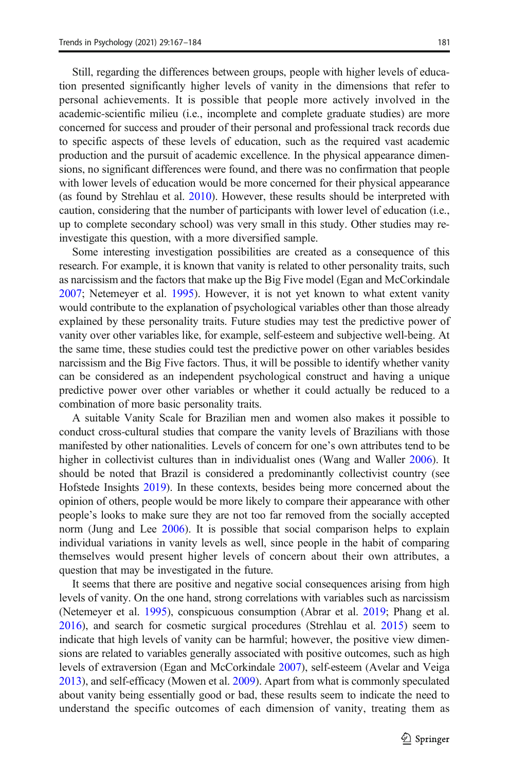Still, regarding the differences between groups, people with higher levels of education presented significantly higher levels of vanity in the dimensions that refer to personal achievements. It is possible that people more actively involved in the academic-scientific milieu (i.e., incomplete and complete graduate studies) are more concerned for success and prouder of their personal and professional track records due to specific aspects of these levels of education, such as the required vast academic production and the pursuit of academic excellence. In the physical appearance dimensions, no significant differences were found, and there was no confirmation that people with lower levels of education would be more concerned for their physical appearance (as found by Strehlau et al. [2010\)](#page-16-0). However, these results should be interpreted with caution, considering that the number of participants with lower level of education (i.e., up to complete secondary school) was very small in this study. Other studies may reinvestigate this question, with a more diversified sample.

Some interesting investigation possibilities are created as a consequence of this research. For example, it is known that vanity is related to other personality traits, such as narcissism and the factors that make up the Big Five model (Egan and McCorkindale [2007;](#page-16-0) Netemeyer et al. [1995\)](#page-16-0). However, it is not yet known to what extent vanity would contribute to the explanation of psychological variables other than those already explained by these personality traits. Future studies may test the predictive power of vanity over other variables like, for example, self-esteem and subjective well-being. At the same time, these studies could test the predictive power on other variables besides narcissism and the Big Five factors. Thus, it will be possible to identify whether vanity can be considered as an independent psychological construct and having a unique predictive power over other variables or whether it could actually be reduced to a combination of more basic personality traits.

A suitable Vanity Scale for Brazilian men and women also makes it possible to conduct cross-cultural studies that compare the vanity levels of Brazilians with those manifested by other nationalities. Levels of concern for one's own attributes tend to be higher in collectivist cultures than in individualist ones (Wang and Waller [2006](#page-17-0)). It should be noted that Brazil is considered a predominantly collectivist country (see Hofstede Insights [2019](#page-16-0)). In these contexts, besides being more concerned about the opinion of others, people would be more likely to compare their appearance with other people's looks to make sure they are not too far removed from the socially accepted norm (Jung and Lee [2006](#page-16-0)). It is possible that social comparison helps to explain individual variations in vanity levels as well, since people in the habit of comparing themselves would present higher levels of concern about their own attributes, a question that may be investigated in the future.

It seems that there are positive and negative social consequences arising from high levels of vanity. On the one hand, strong correlations with variables such as narcissism (Netemeyer et al. [1995](#page-16-0)), conspicuous consumption (Abrar et al. [2019](#page-15-0); Phang et al. [2016\)](#page-16-0), and search for cosmetic surgical procedures (Strehlau et al. [2015\)](#page-17-0) seem to indicate that high levels of vanity can be harmful; however, the positive view dimensions are related to variables generally associated with positive outcomes, such as high levels of extraversion (Egan and McCorkindale [2007](#page-16-0)), self-esteem (Avelar and Veiga [2013\)](#page-15-0), and self-efficacy (Mowen et al. [2009\)](#page-16-0). Apart from what is commonly speculated about vanity being essentially good or bad, these results seem to indicate the need to understand the specific outcomes of each dimension of vanity, treating them as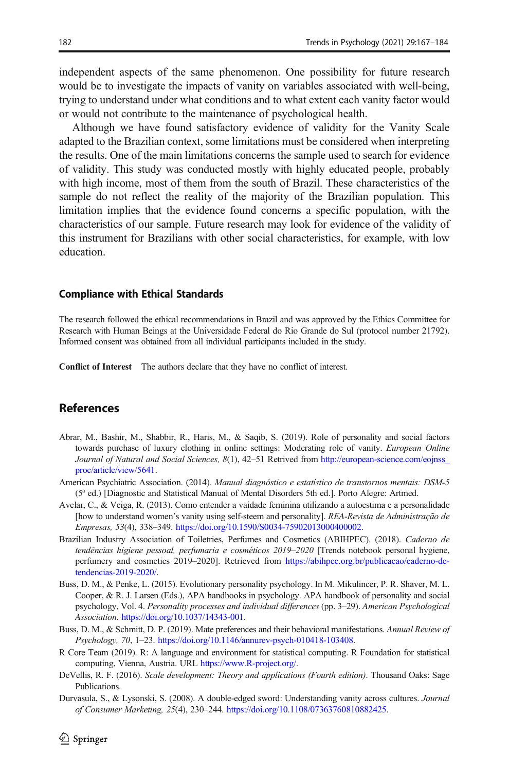<span id="page-15-0"></span>independent aspects of the same phenomenon. One possibility for future research would be to investigate the impacts of vanity on variables associated with well-being, trying to understand under what conditions and to what extent each vanity factor would or would not contribute to the maintenance of psychological health.

Although we have found satisfactory evidence of validity for the Vanity Scale adapted to the Brazilian context, some limitations must be considered when interpreting the results. One of the main limitations concerns the sample used to search for evidence of validity. This study was conducted mostly with highly educated people, probably with high income, most of them from the south of Brazil. These characteristics of the sample do not reflect the reality of the majority of the Brazilian population. This limitation implies that the evidence found concerns a specific population, with the characteristics of our sample. Future research may look for evidence of the validity of this instrument for Brazilians with other social characteristics, for example, with low education.

#### Compliance with Ethical Standards

The research followed the ethical recommendations in Brazil and was approved by the Ethics Committee for Research with Human Beings at the Universidade Federal do Rio Grande do Sul (protocol number 21792). Informed consent was obtained from all individual participants included in the study.

Conflict of Interest The authors declare that they have no conflict of interest.

### References

- Abrar, M., Bashir, M., Shabbir, R., Haris, M., & Saqib, S. (2019). Role of personality and social factors towards purchase of luxury clothing in online settings: Moderating role of vanity. European Online Journal of Natural and Social Sciences, 8(1), 42–51 Retrived from [http://european-science.com/eojnss\\_](http://european-science.com/eojnss_proc/article/view/5641) [proc/article/view/5641.](http://european-science.com/eojnss_proc/article/view/5641)
- American Psychiatric Association. (2014). Manual diagnóstico e estatístico de transtornos mentais: DSM-5 (5ª ed.) [Diagnostic and Statistical Manual of Mental Disorders 5th ed.]. Porto Alegre: Artmed.
- Avelar, C., & Veiga, R. (2013). Como entender a vaidade feminina utilizando a autoestima e a personalidade [how to understand women's vanity using self-steem and personality]. REA-Revista de Administração de Empresas, 53(4), 338–349. <https://doi.org/10.1590/S0034-75902013000400002>.
- Brazilian Industry Association of Toiletries, Perfumes and Cosmetics (ABIHPEC). (2018). Caderno de tendências higiene pessoal, perfumaria e cosméticos 2019–2020 [Trends notebook personal hygiene, perfumery and cosmetics 2019–2020]. Retrieved from [https://abihpec.org.br/publicacao/caderno-de](https://abihpec.org.br/publicacao/caderno-de-tendencias-2019-2020/)[tendencias-2019-2020/](https://abihpec.org.br/publicacao/caderno-de-tendencias-2019-2020/).
- Buss, D. M., & Penke, L. (2015). Evolutionary personality psychology. In M. Mikulincer, P. R. Shaver, M. L. Cooper, & R. J. Larsen (Eds.), APA handbooks in psychology. APA handbook of personality and social psychology, Vol. 4. Personality processes and individual differences (pp. 3–29). American Psychological Association. [https://doi.org/10.1037/14343-001.](https://doi.org/10.1037/14343-001)
- Buss, D. M., & Schmitt, D. P. (2019). Mate preferences and their behavioral manifestations. Annual Review of Psychology, 70, 1–23. <https://doi.org/10.1146/annurev-psych-010418-103408>.
- R Core Team (2019). R: A language and environment for statistical computing. R Foundation for statistical computing, Vienna, Austria. URL [https://www.R-project.org/.](https://www.r-project.org/)
- DeVellis, R. F. (2016). Scale development: Theory and applications (Fourth edition). Thousand Oaks: Sage Publications.
- Durvasula, S., & Lysonski, S. (2008). A double-edged sword: Understanding vanity across cultures. Journal of Consumer Marketing, 25(4), 230–244. [https://doi.org/10.1108/07363760810882425.](https://doi.org/10.1108/07363760810882425)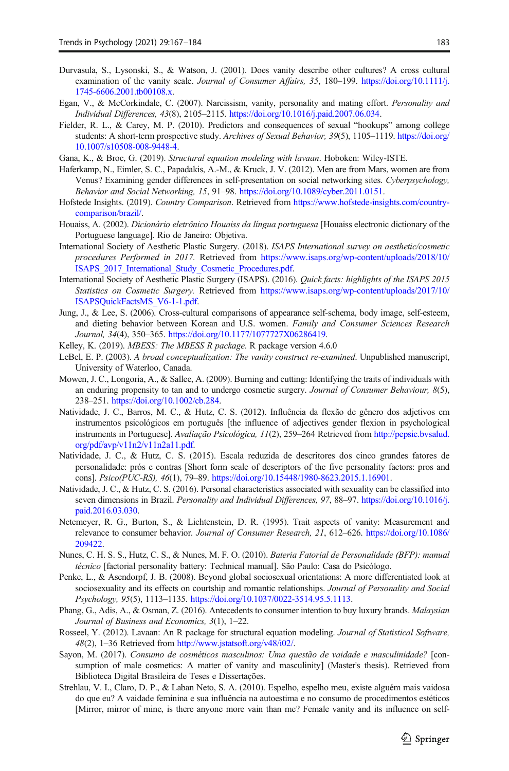- <span id="page-16-0"></span>Durvasula, S., Lysonski, S., & Watson, J. (2001). Does vanity describe other cultures? A cross cultural examination of the vanity scale. Journal of Consumer Affairs, 35, 180–199. [https://doi.org/10.1111/j.](https://doi.org/10.1111/j.1745-6606.2001.tb00108.x) [1745-6606.2001.tb00108.x.](https://doi.org/10.1111/j.1745-6606.2001.tb00108.x)
- Egan, V., & McCorkindale, C. (2007). Narcissism, vanity, personality and mating effort. Personality and Individual Differences, 43(8), 2105–2115. [https://doi.org/10.1016/j.paid.2007.06.034.](https://doi.org/10.1016/j.paid.2007.06.034)
- Fielder, R. L., & Carey, M. P. (2010). Predictors and consequences of sexual "hookups" among college students: A short-term prospective study. Archives of Sexual Behavior, 39(5), 1105–1119. [https://doi.org/](https://doi.org/10.1007/s10508-008-9448-4) [10.1007/s10508-008-9448-4.](https://doi.org/10.1007/s10508-008-9448-4)
- Gana, K., & Broc, G. (2019). Structural equation modeling with lavaan. Hoboken: Wiley-ISTE.
- Haferkamp, N., Eimler, S. C., Papadakis, A.-M., & Kruck, J. V. (2012). Men are from Mars, women are from Venus? Examining gender differences in self-presentation on social networking sites. Cyberpsychology, Behavior and Social Networking, 15, 91–98. [https://doi.org/10.1089/cyber.2011.0151.](https://doi.org/10.1089/cyber.2011.0151)
- Hofstede Insights. (2019). Country Comparison. Retrieved from [https://www.hofstede-insights.com/country](https://www.hofstede-insights.com/country-comparison/brazil/)[comparison/brazil/](https://www.hofstede-insights.com/country-comparison/brazil/).
- Houaiss, A. (2002). Dicionário eletrônico Houaiss da língua portuguesa [Houaiss electronic dictionary of the Portuguese language]. Rio de Janeiro: Objetiva.
- International Society of Aesthetic Plastic Surgery. (2018). ISAPS International survey on aesthetic/cosmetic procedures Performed in 2017. Retrieved from [https://www.isaps.org/wp-content/uploads/2018/10/](https://www.isaps.org/wp-content/uploads/2018/10/ISAPS_2017_International_Study_Cosmetic_Procedures.pdf) [ISAPS\\_2017\\_International\\_Study\\_Cosmetic\\_Procedures.pdf.](https://www.isaps.org/wp-content/uploads/2018/10/ISAPS_2017_International_Study_Cosmetic_Procedures.pdf)
- International Society of Aesthetic Plastic Surgery (ISAPS). (2016). Quick facts: highlights of the ISAPS 2015 Statistics on Cosmetic Surgery. Retrieved from [https://www.isaps.org/wp-content/uploads/2017/10/](https://www.isaps.org/wp-content/uploads/2017/10/ISAPSQuickFactsMS_V6-1-1.pdf) [ISAPSQuickFactsMS\\_V6-1-1.pdf](https://www.isaps.org/wp-content/uploads/2017/10/ISAPSQuickFactsMS_V6-1-1.pdf).
- Jung, J., & Lee, S. (2006). Cross-cultural comparisons of appearance self-schema, body image, self-esteem, and dieting behavior between Korean and U.S. women. Family and Consumer Sciences Research Journal, 34(4), 350–365. <https://doi.org/10.1177/1077727X06286419>.
- Kelley, K. (2019). MBESS: The MBESS R package. R package version 4.6.0
- LeBel, E. P. (2003). A broad conceptualization: The vanity construct re-examined. Unpublished manuscript, University of Waterloo, Canada.
- Mowen, J. C., Longoria, A., & Sallee, A. (2009). Burning and cutting: Identifying the traits of individuals with an enduring propensity to tan and to undergo cosmetic surgery. Journal of Consumer Behaviour, 8(5), 238–251. <https://doi.org/10.1002/cb.284>.
- Natividade, J. C., Barros, M. C., & Hutz, C. S. (2012). Influência da flexão de gênero dos adjetivos em instrumentos psicológicos em português [the influence of adjectives gender flexion in psychological instruments in Portuguese]. Avaliação Psicológica, 11(2), 259–264 Retrieved from [http://pepsic.bvsalud.](http://pepsic.bvsalud.org/pdf/avp/v11n2/v11n2a11.pdf) [org/pdf/avp/v11n2/v11n2a11.pdf.](http://pepsic.bvsalud.org/pdf/avp/v11n2/v11n2a11.pdf)
- Natividade, J. C., & Hutz, C. S. (2015). Escala reduzida de descritores dos cinco grandes fatores de personalidade: prós e contras [Short form scale of descriptors of the five personality factors: pros and cons]. Psico(PUC-RS), 46(1), 79–89. [https://doi.org/10.15448/1980-8623.2015.1.16901.](https://doi.org/10.15448/1980-8623.2015.1.16901)
- Natividade, J. C., & Hutz, C. S. (2016). Personal characteristics associated with sexuality can be classified into seven dimensions in Brazil. Personality and Individual Differences, 97, 88–97. [https://doi.org/10.1016/j.](https://doi.org/10.1016/j.paid.2016.03.030) [paid.2016.03.030.](https://doi.org/10.1016/j.paid.2016.03.030)
- Netemeyer, R. G., Burton, S., & Lichtenstein, D. R. (1995). Trait aspects of vanity: Measurement and relevance to consumer behavior. Journal of Consumer Research, 21, 612–626. [https://doi.org/10.1086/](https://doi.org/10.1086/209422) [209422](https://doi.org/10.1086/209422).
- Nunes, C. H. S. S., Hutz, C. S., & Nunes, M. F. O. (2010). Bateria Fatorial de Personalidade (BFP): manual técnico [factorial personality battery: Technical manual]. São Paulo: Casa do Psicólogo.
- Penke, L., & Asendorpf, J. B. (2008). Beyond global sociosexual orientations: A more differentiated look at sociosexuality and its effects on courtship and romantic relationships. Journal of Personality and Social Psychology, 95(5), 1113–1135. [https://doi.org/10.1037/0022-3514.95.5.1113.](https://doi.org/10.1037/0022-3514.95.5.1113)
- Phang, G., Adis, A., & Osman, Z. (2016). Antecedents to consumer intention to buy luxury brands. Malaysian Journal of Business and Economics, 3(1), 1–22.
- Rosseel, Y. (2012). Lavaan: An R package for structural equation modeling. Journal of Statistical Software, 48(2), 1–36 Retrieved from <http://www.jstatsoft.org/v48/i02/>.
- Sayon, M. (2017). Consumo de cosméticos masculinos: Uma questão de vaidade e masculinidade? [consumption of male cosmetics: A matter of vanity and masculinity] (Master's thesis). Retrieved from Biblioteca Digital Brasileira de Teses e Dissertações.
- Strehlau, V. I., Claro, D. P., & Laban Neto, S. A. (2010). Espelho, espelho meu, existe alguém mais vaidosa do que eu? A vaidade feminina e sua influência na autoestima e no consumo de procedimentos estéticos [Mirror, mirror of mine, is there anyone more vain than me? Female vanity and its influence on self-